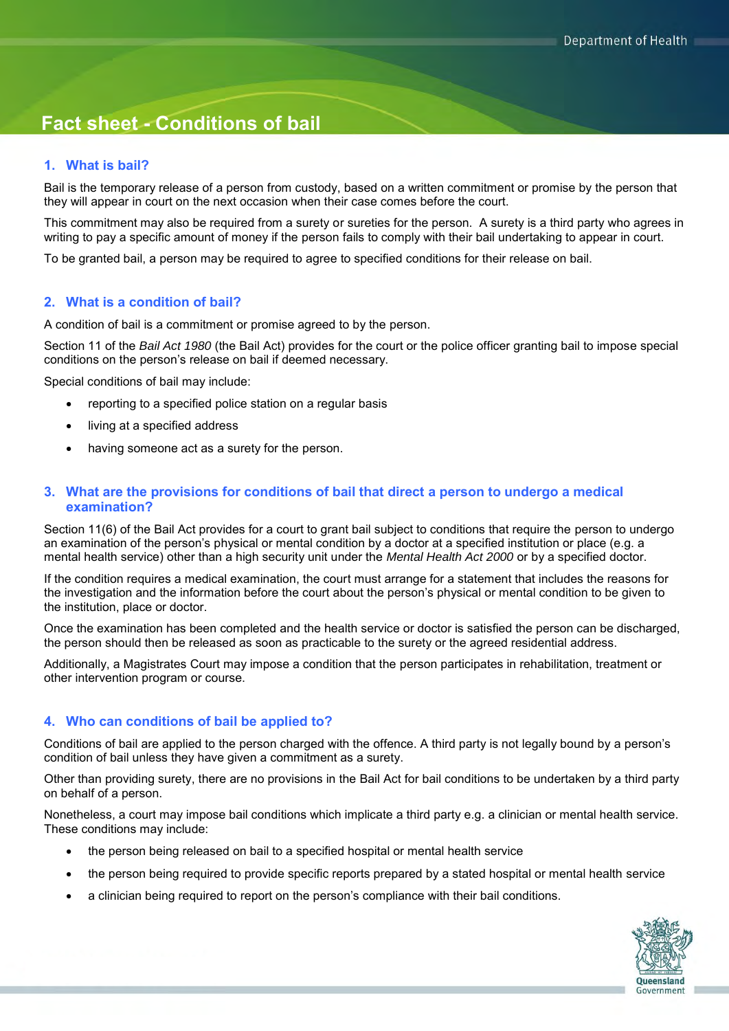# **Fact sheet - Conditions of bail**

#### **1. What is bail?**

Bail is the temporary release of a person from custody, based on a written commitment or promise by the person that they will appear in court on the next occasion when their case comes before the court.

This commitment may also be required from a surety or sureties for the person. A surety is a third party who agrees in writing to pay a specific amount of money if the person fails to comply with their bail undertaking to appear in court.

To be granted bail, a person may be required to agree to specified conditions for their release on bail.

#### **2. What is a condition of bail?**

A condition of bail is a commitment or promise agreed to by the person.

Section 11 of the *Bail Act 1980* (the Bail Act) provides for the court or the police officer granting bail to impose special conditions on the person's release on bail if deemed necessary.

Special conditions of bail may include:

- reporting to a specified police station on a regular basis
- living at a specified address
- having someone act as a surety for the person.

#### **3. What are the provisions for conditions of bail that direct a person to undergo a medical examination?**

Section 11(6) of the Bail Act provides for a court to grant bail subject to conditions that require the person to undergo an examination of the person's physical or mental condition by a doctor at a specified institution or place (e.g. a mental health service) other than a high security unit under the *Mental Health Act 2000* or by a specified doctor.

If the condition requires a medical examination, the court must arrange for a statement that includes the reasons for the investigation and the information before the court about the person's physical or mental condition to be given to the institution, place or doctor.

Once the examination has been completed and the health service or doctor is satisfied the person can be discharged, the person should then be released as soon as practicable to the surety or the agreed residential address.

Additionally, a Magistrates Court may impose a condition that the person participates in rehabilitation, treatment or other intervention program or course.

#### **4. Who can conditions of bail be applied to?**

Conditions of bail are applied to the person charged with the offence. A third party is not legally bound by a person's condition of bail unless they have given a commitment as a surety.

Other than providing surety, there are no provisions in the Bail Act for bail conditions to be undertaken by a third party on behalf of a person.

Nonetheless, a court may impose bail conditions which implicate a third party e.g. a clinician or mental health service. These conditions may include:

- the person being released on bail to a specified hospital or mental health service
- the person being required to provide specific reports prepared by a stated hospital or mental health service
- a clinician being required to report on the person's compliance with their bail conditions.